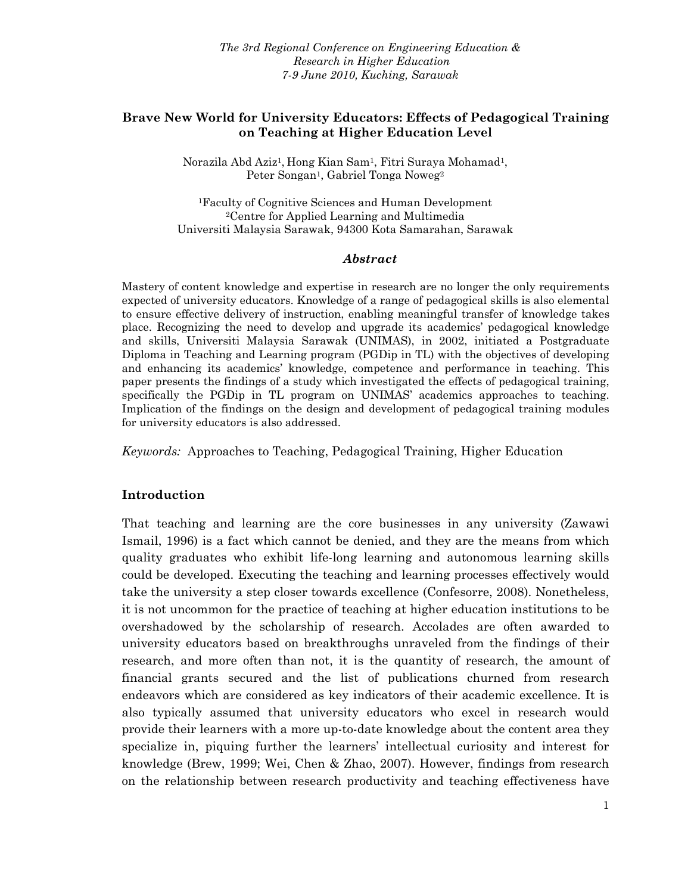#### **Brave New World for University Educators: Effects of Pedagogical Training on Teaching at Higher Education Level**

Norazila Abd Aziz1, Hong Kian Sam1, Fitri Suraya Mohamad1, Peter Songan<sup>1</sup>, Gabriel Tonga Noweg<sup>2</sup>

1Faculty of Cognitive Sciences and Human Development 2Centre for Applied Learning and Multimedia Universiti Malaysia Sarawak, 94300 Kota Samarahan, Sarawak

#### *Abstract*

Mastery of content knowledge and expertise in research are no longer the only requirements expected of university educators. Knowledge of a range of pedagogical skills is also elemental to ensure effective delivery of instruction, enabling meaningful transfer of knowledge takes place. Recognizing the need to develop and upgrade its academics' pedagogical knowledge and skills, Universiti Malaysia Sarawak (UNIMAS), in 2002, initiated a Postgraduate Diploma in Teaching and Learning program (PGDip in TL) with the objectives of developing and enhancing its academics' knowledge, competence and performance in teaching. This paper presents the findings of a study which investigated the effects of pedagogical training, specifically the PGDip in TL program on UNIMAS' academics approaches to teaching. Implication of the findings on the design and development of pedagogical training modules for university educators is also addressed.

*Keywords:* Approaches to Teaching, Pedagogical Training, Higher Education

#### **Introduction**

That teaching and learning are the core businesses in any university (Zawawi Ismail, 1996) is a fact which cannot be denied, and they are the means from which quality graduates who exhibit life-long learning and autonomous learning skills could be developed. Executing the teaching and learning processes effectively would take the university a step closer towards excellence (Confesorre, 2008). Nonetheless, it is not uncommon for the practice of teaching at higher education institutions to be overshadowed by the scholarship of research. Accolades are often awarded to university educators based on breakthroughs unraveled from the findings of their research, and more often than not, it is the quantity of research, the amount of financial grants secured and the list of publications churned from research endeavors which are considered as key indicators of their academic excellence. It is also typically assumed that university educators who excel in research would provide their learners with a more up-to-date knowledge about the content area they specialize in, piquing further the learners' intellectual curiosity and interest for knowledge (Brew, 1999; Wei, Chen & Zhao, 2007). However, findings from research on the relationship between research productivity and teaching effectiveness have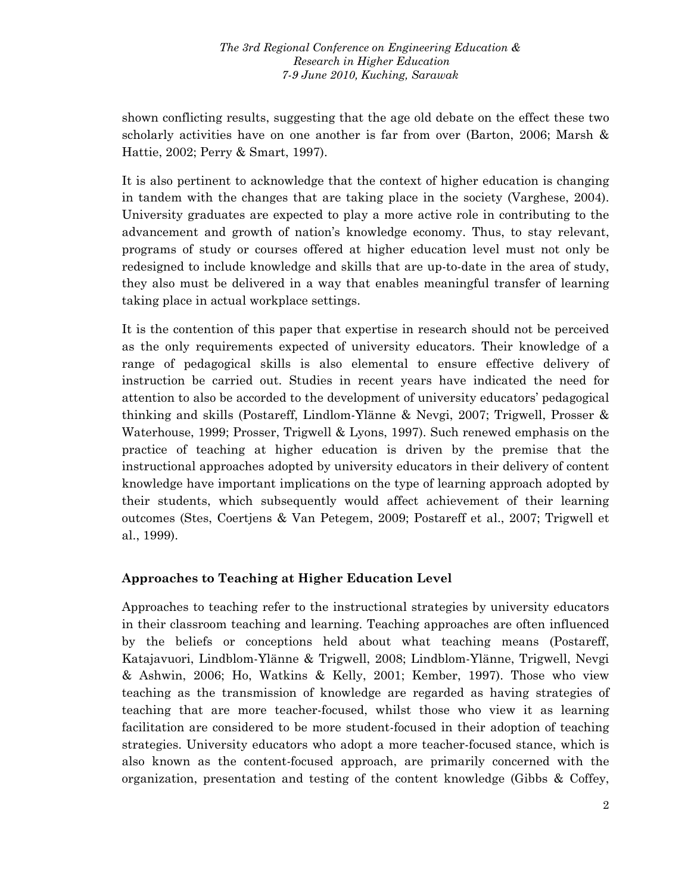shown conflicting results, suggesting that the age old debate on the effect these two scholarly activities have on one another is far from over (Barton, 2006; Marsh & Hattie, 2002; Perry & Smart, 1997).

It is also pertinent to acknowledge that the context of higher education is changing in tandem with the changes that are taking place in the society (Varghese, 2004). University graduates are expected to play a more active role in contributing to the advancement and growth of nation's knowledge economy. Thus, to stay relevant, programs of study or courses offered at higher education level must not only be redesigned to include knowledge and skills that are up-to-date in the area of study, they also must be delivered in a way that enables meaningful transfer of learning taking place in actual workplace settings.

It is the contention of this paper that expertise in research should not be perceived as the only requirements expected of university educators. Their knowledge of a range of pedagogical skills is also elemental to ensure effective delivery of instruction be carried out. Studies in recent years have indicated the need for attention to also be accorded to the development of university educators' pedagogical thinking and skills (Postareff, Lindlom-Ylänne & Nevgi, 2007; Trigwell, Prosser & Waterhouse, 1999; Prosser, Trigwell & Lyons, 1997). Such renewed emphasis on the practice of teaching at higher education is driven by the premise that the instructional approaches adopted by university educators in their delivery of content knowledge have important implications on the type of learning approach adopted by their students, which subsequently would affect achievement of their learning outcomes (Stes, Coertjens & Van Petegem, 2009; Postareff et al., 2007; Trigwell et al., 1999).

### **Approaches to Teaching at Higher Education Level**

Approaches to teaching refer to the instructional strategies by university educators in their classroom teaching and learning. Teaching approaches are often influenced by the beliefs or conceptions held about what teaching means (Postareff, Katajavuori, Lindblom-Ylänne & Trigwell, 2008; Lindblom-Ylänne, Trigwell, Nevgi & Ashwin, 2006; Ho, Watkins & Kelly, 2001; Kember, 1997). Those who view teaching as the transmission of knowledge are regarded as having strategies of teaching that are more teacher-focused, whilst those who view it as learning facilitation are considered to be more student-focused in their adoption of teaching strategies. University educators who adopt a more teacher-focused stance, which is also known as the content-focused approach, are primarily concerned with the organization, presentation and testing of the content knowledge (Gibbs & Coffey,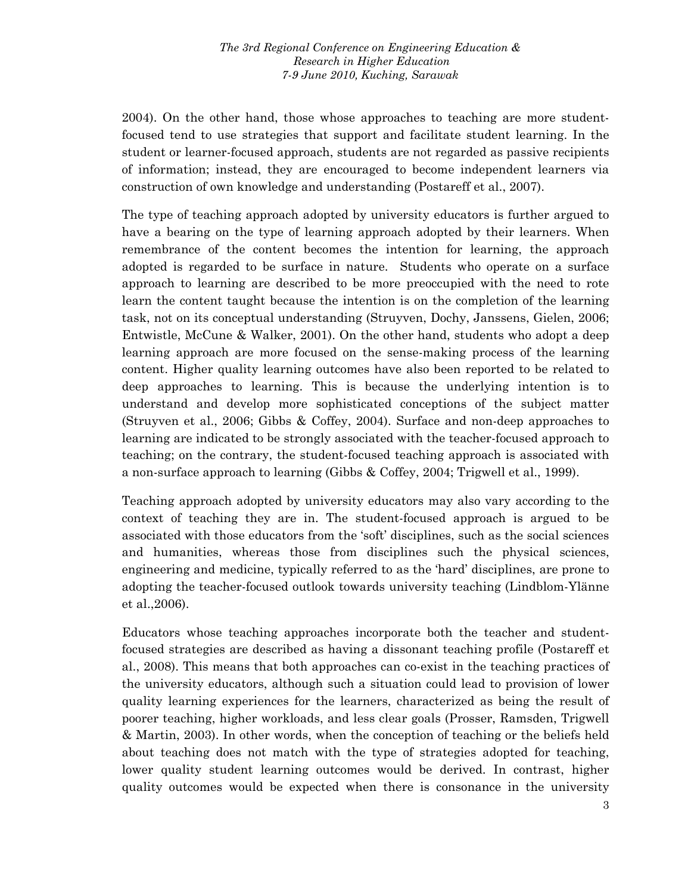2004). On the other hand, those whose approaches to teaching are more studentfocused tend to use strategies that support and facilitate student learning. In the student or learner-focused approach, students are not regarded as passive recipients of information; instead, they are encouraged to become independent learners via construction of own knowledge and understanding (Postareff et al., 2007).

The type of teaching approach adopted by university educators is further argued to have a bearing on the type of learning approach adopted by their learners. When remembrance of the content becomes the intention for learning, the approach adopted is regarded to be surface in nature. Students who operate on a surface approach to learning are described to be more preoccupied with the need to rote learn the content taught because the intention is on the completion of the learning task, not on its conceptual understanding (Struyven, Dochy, Janssens, Gielen, 2006; Entwistle, McCune & Walker, 2001). On the other hand, students who adopt a deep learning approach are more focused on the sense-making process of the learning content. Higher quality learning outcomes have also been reported to be related to deep approaches to learning. This is because the underlying intention is to understand and develop more sophisticated conceptions of the subject matter (Struyven et al., 2006; Gibbs & Coffey, 2004). Surface and non-deep approaches to learning are indicated to be strongly associated with the teacher-focused approach to teaching; on the contrary, the student-focused teaching approach is associated with a non-surface approach to learning (Gibbs & Coffey, 2004; Trigwell et al., 1999).

Teaching approach adopted by university educators may also vary according to the context of teaching they are in. The student-focused approach is argued to be associated with those educators from the 'soft' disciplines, such as the social sciences and humanities, whereas those from disciplines such the physical sciences, engineering and medicine, typically referred to as the 'hard' disciplines, are prone to adopting the teacher-focused outlook towards university teaching (Lindblom-Ylänne et al.,2006).

Educators whose teaching approaches incorporate both the teacher and studentfocused strategies are described as having a dissonant teaching profile (Postareff et al., 2008). This means that both approaches can co-exist in the teaching practices of the university educators, although such a situation could lead to provision of lower quality learning experiences for the learners, characterized as being the result of poorer teaching, higher workloads, and less clear goals (Prosser, Ramsden, Trigwell & Martin, 2003). In other words, when the conception of teaching or the beliefs held about teaching does not match with the type of strategies adopted for teaching, lower quality student learning outcomes would be derived. In contrast, higher quality outcomes would be expected when there is consonance in the university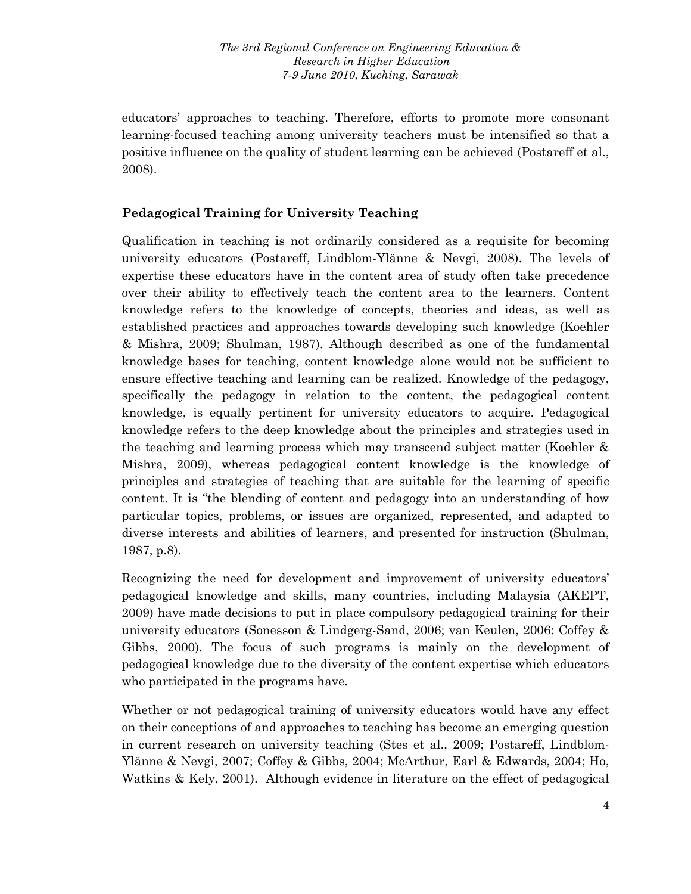educators' approaches to teaching. Therefore, efforts to promote more consonant learning-focused teaching among university teachers must be intensified so that a positive influence on the quality of student learning can be achieved (Postareff et al., 2008).

# **Pedagogical Training for University Teaching**

Qualification in teaching is not ordinarily considered as a requisite for becoming university educators (Postareff, Lindblom-Ylänne & Nevgi, 2008). The levels of expertise these educators have in the content area of study often take precedence over their ability to effectively teach the content area to the learners. Content knowledge refers to the knowledge of concepts, theories and ideas, as well as established practices and approaches towards developing such knowledge (Koehler & Mishra, 2009; Shulman, 1987). Although described as one of the fundamental knowledge bases for teaching, content knowledge alone would not be sufficient to ensure effective teaching and learning can be realized. Knowledge of the pedagogy, specifically the pedagogy in relation to the content, the pedagogical content knowledge, is equally pertinent for university educators to acquire. Pedagogical knowledge refers to the deep knowledge about the principles and strategies used in the teaching and learning process which may transcend subject matter (Koehler & Mishra, 2009), whereas pedagogical content knowledge is the knowledge of principles and strategies of teaching that are suitable for the learning of specific content. It is "the blending of content and pedagogy into an understanding of how particular topics, problems, or issues are organized, represented, and adapted to diverse interests and abilities of learners, and presented for instruction (Shulman, 1987, p.8).

Recognizing the need for development and improvement of university educators' pedagogical knowledge and skills, many countries, including Malaysia (AKEPT, 2009) have made decisions to put in place compulsory pedagogical training for their university educators (Sonesson & Lindgerg-Sand, 2006; van Keulen, 2006: Coffey & Gibbs, 2000). The focus of such programs is mainly on the development of pedagogical knowledge due to the diversity of the content expertise which educators who participated in the programs have.

Whether or not pedagogical training of university educators would have any effect on their conceptions of and approaches to teaching has become an emerging question in current research on university teaching (Stes et al., 2009; Postareff, Lindblom-Ylänne & Nevgi, 2007; Coffey & Gibbs, 2004; McArthur, Earl & Edwards, 2004; Ho, Watkins & Kely, 2001). Although evidence in literature on the effect of pedagogical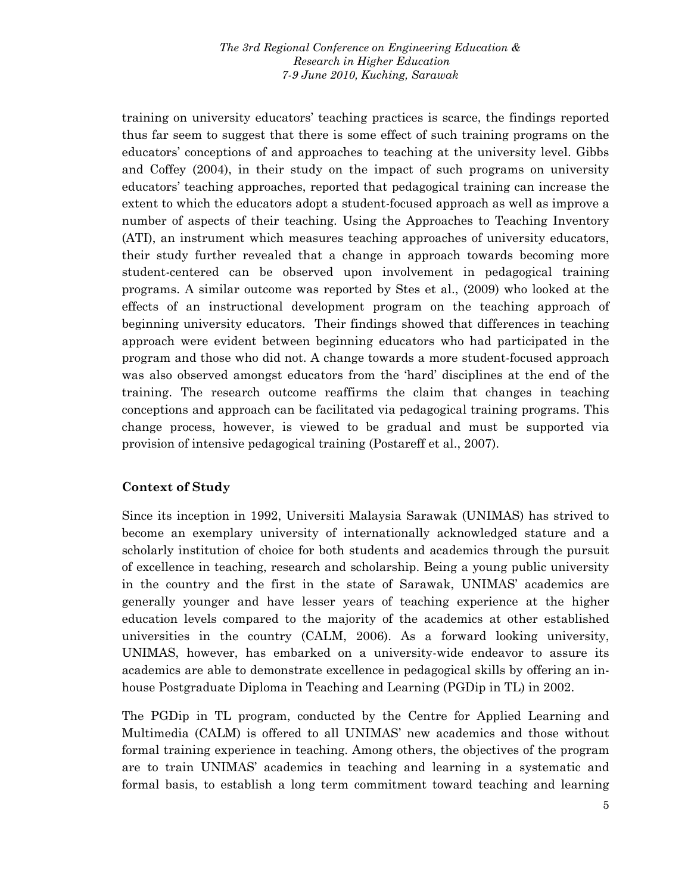training on university educators' teaching practices is scarce, the findings reported thus far seem to suggest that there is some effect of such training programs on the educators' conceptions of and approaches to teaching at the university level. Gibbs and Coffey (2004), in their study on the impact of such programs on university educators' teaching approaches, reported that pedagogical training can increase the extent to which the educators adopt a student-focused approach as well as improve a number of aspects of their teaching. Using the Approaches to Teaching Inventory (ATI), an instrument which measures teaching approaches of university educators, their study further revealed that a change in approach towards becoming more student-centered can be observed upon involvement in pedagogical training programs. A similar outcome was reported by Stes et al., (2009) who looked at the effects of an instructional development program on the teaching approach of beginning university educators. Their findings showed that differences in teaching approach were evident between beginning educators who had participated in the program and those who did not. A change towards a more student-focused approach was also observed amongst educators from the 'hard' disciplines at the end of the training. The research outcome reaffirms the claim that changes in teaching conceptions and approach can be facilitated via pedagogical training programs. This change process, however, is viewed to be gradual and must be supported via provision of intensive pedagogical training (Postareff et al., 2007).

# **Context of Study**

Since its inception in 1992, Universiti Malaysia Sarawak (UNIMAS) has strived to become an exemplary university of internationally acknowledged stature and a scholarly institution of choice for both students and academics through the pursuit of excellence in teaching, research and scholarship. Being a young public university in the country and the first in the state of Sarawak, UNIMAS' academics are generally younger and have lesser years of teaching experience at the higher education levels compared to the majority of the academics at other established universities in the country (CALM, 2006). As a forward looking university, UNIMAS, however, has embarked on a university-wide endeavor to assure its academics are able to demonstrate excellence in pedagogical skills by offering an inhouse Postgraduate Diploma in Teaching and Learning (PGDip in TL) in 2002.

The PGDip in TL program, conducted by the Centre for Applied Learning and Multimedia (CALM) is offered to all UNIMAS' new academics and those without formal training experience in teaching. Among others, the objectives of the program are to train UNIMAS' academics in teaching and learning in a systematic and formal basis, to establish a long term commitment toward teaching and learning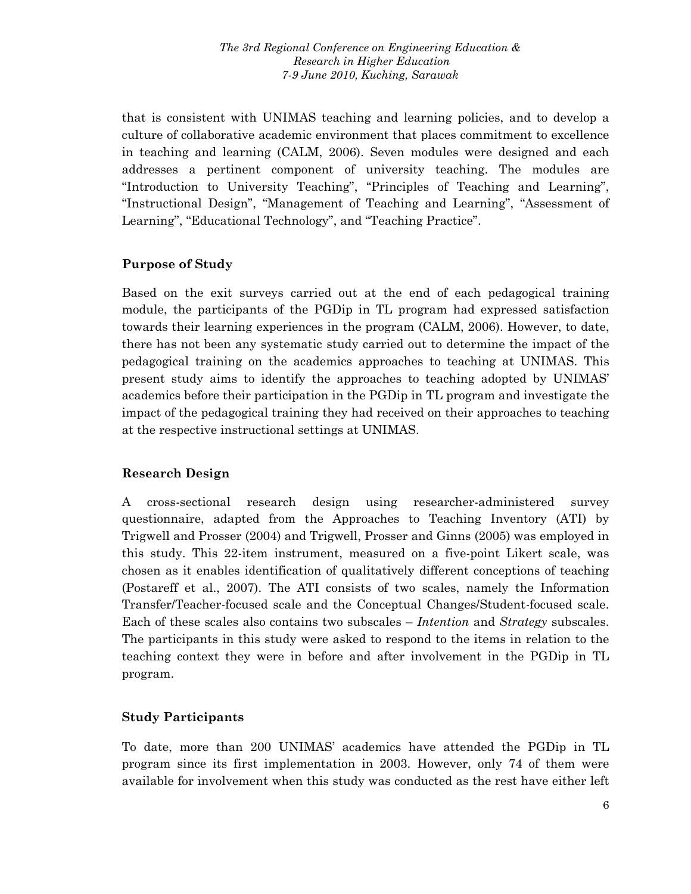that is consistent with UNIMAS teaching and learning policies, and to develop a culture of collaborative academic environment that places commitment to excellence in teaching and learning (CALM, 2006). Seven modules were designed and each addresses a pertinent component of university teaching. The modules are "Introduction to University Teaching", "Principles of Teaching and Learning", "Instructional Design", "Management of Teaching and Learning", "Assessment of Learning", "Educational Technology", and "Teaching Practice".

## **Purpose of Study**

Based on the exit surveys carried out at the end of each pedagogical training module, the participants of the PGDip in TL program had expressed satisfaction towards their learning experiences in the program (CALM, 2006). However, to date, there has not been any systematic study carried out to determine the impact of the pedagogical training on the academics approaches to teaching at UNIMAS. This present study aims to identify the approaches to teaching adopted by UNIMAS' academics before their participation in the PGDip in TL program and investigate the impact of the pedagogical training they had received on their approaches to teaching at the respective instructional settings at UNIMAS.

# **Research Design**

A cross-sectional research design using researcher-administered survey questionnaire, adapted from the Approaches to Teaching Inventory (ATI) by Trigwell and Prosser (2004) and Trigwell, Prosser and Ginns (2005) was employed in this study. This 22-item instrument, measured on a five-point Likert scale, was chosen as it enables identification of qualitatively different conceptions of teaching (Postareff et al., 2007). The ATI consists of two scales, namely the Information Transfer/Teacher-focused scale and the Conceptual Changes/Student-focused scale. Each of these scales also contains two subscales – *Intention* and *Strategy* subscales. The participants in this study were asked to respond to the items in relation to the teaching context they were in before and after involvement in the PGDip in TL program.

# **Study Participants**

To date, more than 200 UNIMAS' academics have attended the PGDip in TL program since its first implementation in 2003. However, only 74 of them were available for involvement when this study was conducted as the rest have either left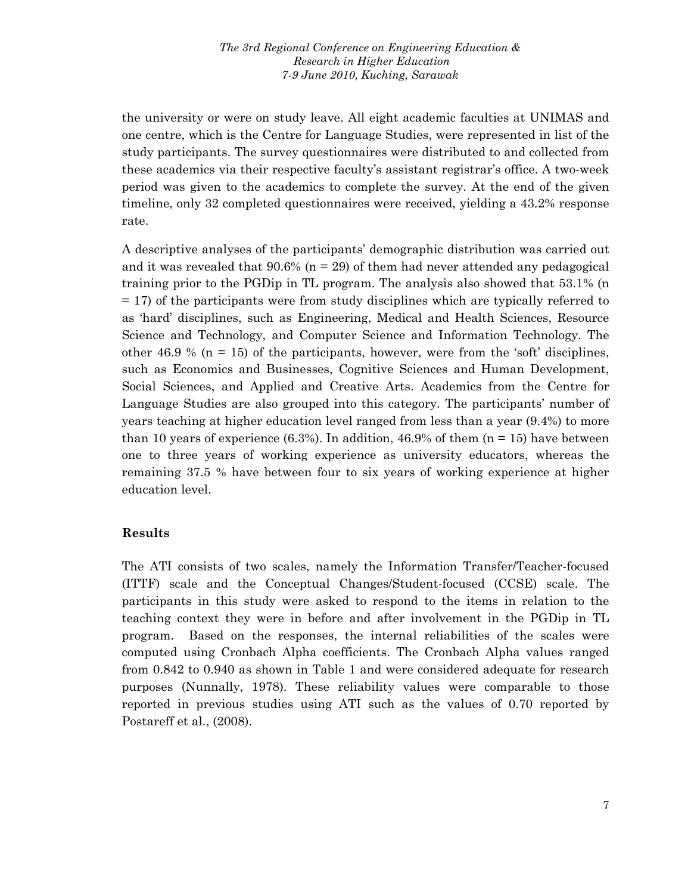the university or were on study leave. All eight academic faculties at UNIMAS and one centre, which is the Centre for Language Studies, were represented in list of the study participants. The survey questionnaires were distributed to and collected from these academics via their respective faculty's assistant registrar's office. A two-week period was given to the academics to complete the survey. At the end of the given timeline, only 32 completed questionnaires were received, yielding a 43.2% response rate.

A descriptive analyses of the participants' demographic distribution was carried out and it was revealed that  $90.6\%$  (n = 29) of them had never attended any pedagogical training prior to the PGDip in TL program. The analysis also showed that 53.1% (n = 17) of the participants were from study disciplines which are typically referred to as 'hard' disciplines, such as Engineering, Medical and Health Sciences, Resource Science and Technology, and Computer Science and Information Technology. The other 46.9 % ( $n = 15$ ) of the participants, however, were from the 'soft' disciplines, such as Economics and Businesses, Cognitive Sciences and Human Development, Social Sciences, and Applied and Creative Arts. Academics from the Centre for Language Studies are also grouped into this category. The participants' number of years teaching at higher education level ranged from less than a year (9.4%) to more than 10 years of experience  $(6.3\%)$ . In addition, 46.9% of them  $(n = 15)$  have between one to three years of working experience as university educators, whereas the remaining 37.5 % have between four to six years of working experience at higher education level.

### **Results**

The ATI consists of two scales, namely the Information Transfer/Teacher-focused (ITTF) scale and the Conceptual Changes/Student-focused (CCSE) scale. The participants in this study were asked to respond to the items in relation to the teaching context they were in before and after involvement in the PGDip in TL program. Based on the responses, the internal reliabilities of the scales were computed using Cronbach Alpha coefficients. The Cronbach Alpha values ranged from 0.842 to 0.940 as shown in Table 1 and were considered adequate for research purposes (Nunnally, 1978). These reliability values were comparable to those reported in previous studies using ATI such as the values of 0.70 reported by Postareff et al., (2008).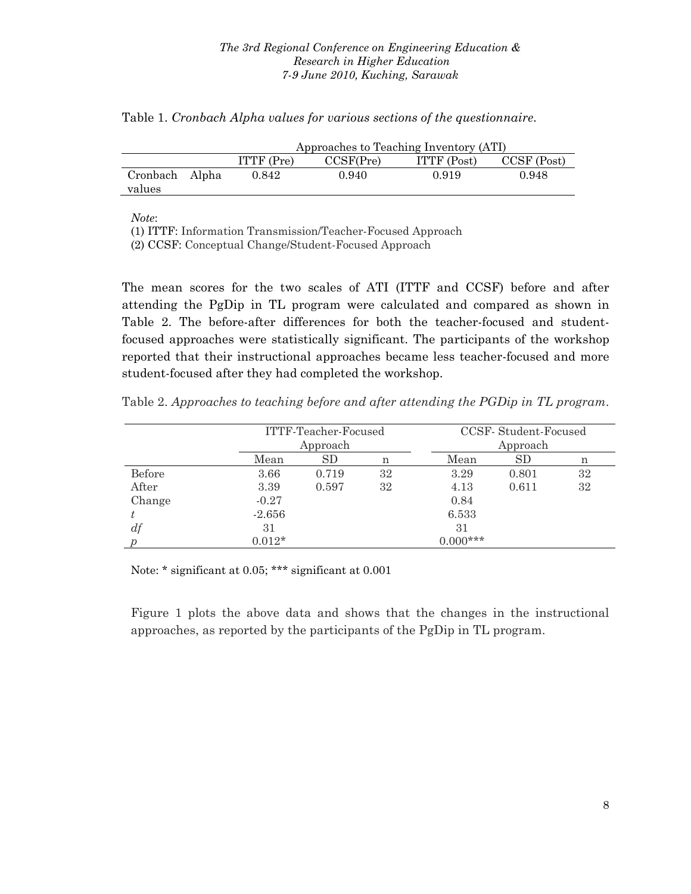|                          | Approaches to Teaching Inventory (ATI) |           |             |             |  |
|--------------------------|----------------------------------------|-----------|-------------|-------------|--|
|                          | $ITTF$ (Pre)                           | CCSF(Pre) | ITTF (Post) | CCSF (Post) |  |
| Cronbach Alpha<br>values | 0.842                                  | 0.940     | 0.919       | 0.948       |  |

Table 1. *Cronbach Alpha values for various sections of the questionnaire*.

*Note*:

(1) ITTF: Information Transmission/Teacher-Focused Approach

(2) CCSF: Conceptual Change/Student-Focused Approach

The mean scores for the two scales of ATI (ITTF and CCSF) before and after attending the PgDip in TL program were calculated and compared as shown in Table 2. The before-after differences for both the teacher-focused and studentfocused approaches were statistically significant. The participants of the workshop reported that their instructional approaches became less teacher-focused and more student-focused after they had completed the workshop.

Table 2. *Approaches to teaching before and after attending the PGDip in TL program*.

|        |          | ITTF-Teacher-Focused<br>Approach |    | CCSF-Student-Focused<br>Approach |           |    |
|--------|----------|----------------------------------|----|----------------------------------|-----------|----|
|        | Mean     | <b>SD</b>                        | n  | Mean                             | <b>SD</b> | n  |
| Before | 3.66     | 0.719                            | 32 | 3.29                             | 0.801     | 32 |
| After  | 3.39     | 0.597                            | 32 | 4.13                             | 0.611     | 32 |
| Change | $-0.27$  |                                  |    | 0.84                             |           |    |
|        | $-2.656$ |                                  |    | 6.533                            |           |    |
| df     | 31       |                                  |    | 31                               |           |    |
|        | $0.012*$ |                                  |    | $0.000***$                       |           |    |

Note: \* significant at 0.05; \*\*\* significant at 0.001

Figure 1 plots the above data and shows that the changes in the instructional approaches, as reported by the participants of the PgDip in TL program.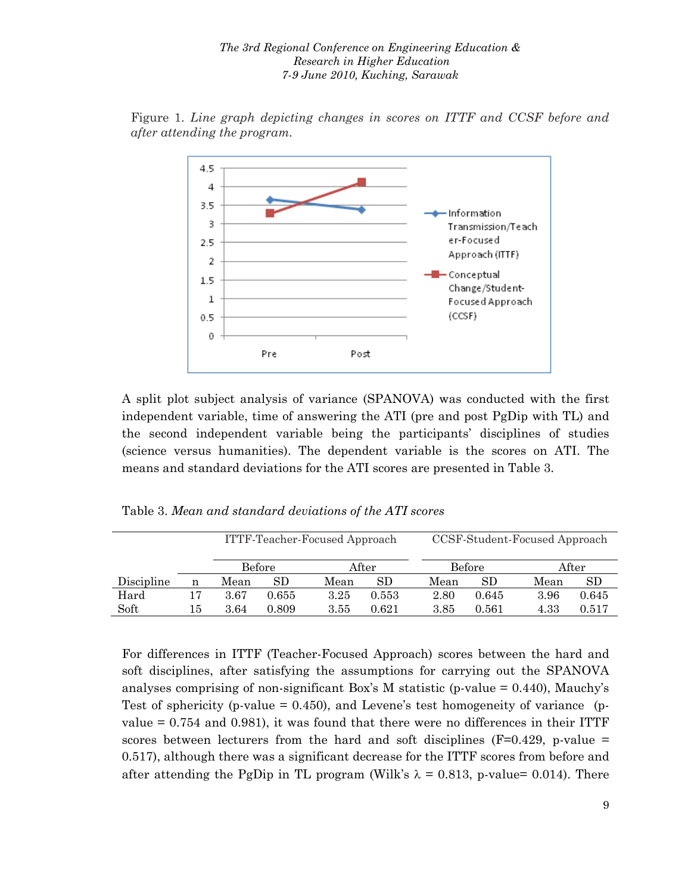

Figure 1. *Line graph depicting changes in scores on ITTF and CCSF before and after attending the program.* 

A split plot subject analysis of variance (SPANOVA) was conducted with the first independent variable, time of answering the ATI (pre and post PgDip with TL) and the second independent variable being the participants' disciplines of studies (science versus humanities). The dependent variable is the scores on ATI. The means and standard deviations for the ATI scores are presented in Table 3.

| ITTF-Teacher-Focused Approach |       | CCSF-Student-Focused Approach |       |
|-------------------------------|-------|-------------------------------|-------|
| Before                        | After | Before                        | After |

Table 3. *Mean and standard deviations of the ATI scores*

| For differences in ITTF (Teacher-Focused Approach) scores between the hard and             |
|--------------------------------------------------------------------------------------------|
| soft disciplines, after satisfying the assumptions for carrying out the SPANOVA            |
| analyses comprising of non-significant Box's M statistic (p-value $= 0.440$ ), Mauchy's    |
| Test of sphericity (p-value = 0.450), and Levene's test homogeneity of variance (p-        |
| value = $0.754$ and $0.981$ ), it was found that there were no differences in their ITTF   |
| scores between lecturers from the hard and soft disciplines ( $F=0.429$ , p-value =        |
| 0.517), although there was a significant decrease for the ITTF scores from before and      |
| after attending the PgDip in TL program (Wilk's $\lambda = 0.813$ , p-value= 0.014). There |

Discipline n Mean SD Mean SD Mean SD Mean SD Hard 17 3.67 0.655 3.25 0.553 2.80 0.645 3.96 0.645 Soft 15 3.64 0.809 3.55 0.621 3.85 0.561 4.33 0.517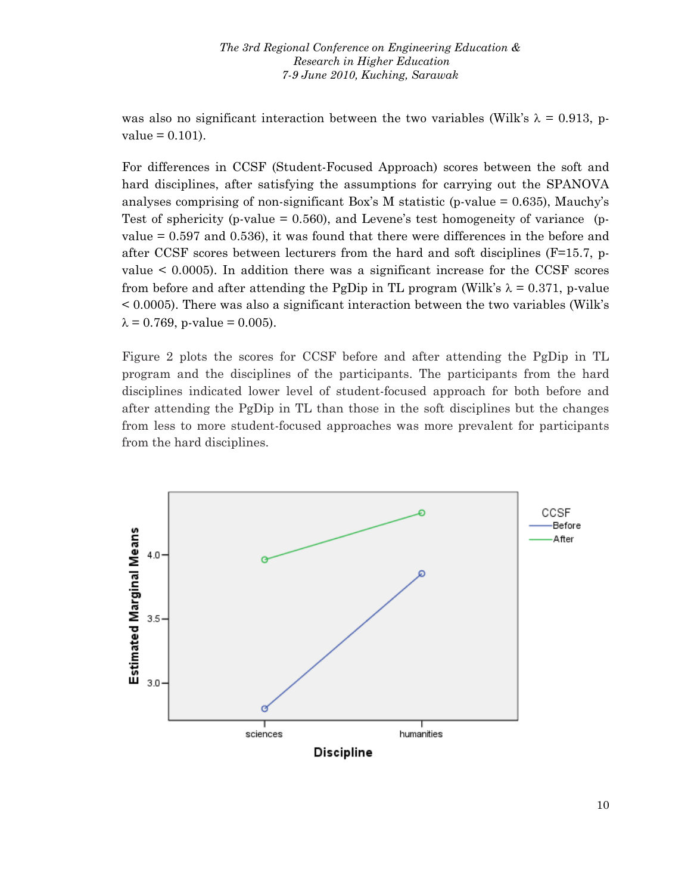was also no significant interaction between the two variables (Wilk's  $\lambda = 0.913$ , p $value = 0.101$ .

For differences in CCSF (Student-Focused Approach) scores between the soft and hard disciplines, after satisfying the assumptions for carrying out the SPANOVA analyses comprising of non-significant Box's M statistic (p-value  $= 0.635$ ), Mauchy's Test of sphericity (p-value  $= 0.560$ ), and Levene's test homogeneity of variance (pvalue = 0.597 and 0.536), it was found that there were differences in the before and after CCSF scores between lecturers from the hard and soft disciplines ( $F=15.7$ , pvalue < 0.0005). In addition there was a significant increase for the CCSF scores from before and after attending the PgDip in TL program (Wilk's  $\lambda = 0.371$ , p-value < 0.0005). There was also a significant interaction between the two variables (Wilk's  $\lambda = 0.769$ , p-value = 0.005).

Figure 2 plots the scores for CCSF before and after attending the PgDip in TL program and the disciplines of the participants. The participants from the hard disciplines indicated lower level of student-focused approach for both before and after attending the PgDip in TL than those in the soft disciplines but the changes from less to more student-focused approaches was more prevalent for participants from the hard disciplines.

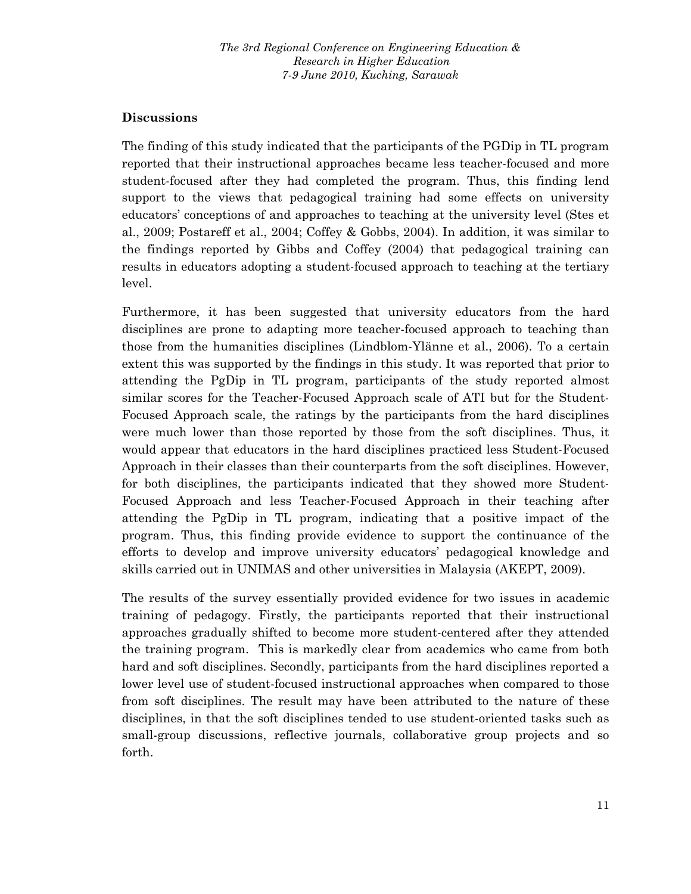## **Discussions**

The finding of this study indicated that the participants of the PGDip in TL program reported that their instructional approaches became less teacher-focused and more student-focused after they had completed the program. Thus, this finding lend support to the views that pedagogical training had some effects on university educators' conceptions of and approaches to teaching at the university level (Stes et al., 2009; Postareff et al., 2004; Coffey & Gobbs, 2004). In addition, it was similar to the findings reported by Gibbs and Coffey (2004) that pedagogical training can results in educators adopting a student-focused approach to teaching at the tertiary level.

Furthermore, it has been suggested that university educators from the hard disciplines are prone to adapting more teacher-focused approach to teaching than those from the humanities disciplines (Lindblom-Ylänne et al., 2006). To a certain extent this was supported by the findings in this study. It was reported that prior to attending the PgDip in TL program, participants of the study reported almost similar scores for the Teacher-Focused Approach scale of ATI but for the Student-Focused Approach scale, the ratings by the participants from the hard disciplines were much lower than those reported by those from the soft disciplines. Thus, it would appear that educators in the hard disciplines practiced less Student-Focused Approach in their classes than their counterparts from the soft disciplines. However, for both disciplines, the participants indicated that they showed more Student-Focused Approach and less Teacher-Focused Approach in their teaching after attending the PgDip in TL program, indicating that a positive impact of the program. Thus, this finding provide evidence to support the continuance of the efforts to develop and improve university educators' pedagogical knowledge and skills carried out in UNIMAS and other universities in Malaysia (AKEPT, 2009).

The results of the survey essentially provided evidence for two issues in academic training of pedagogy. Firstly, the participants reported that their instructional approaches gradually shifted to become more student-centered after they attended the training program. This is markedly clear from academics who came from both hard and soft disciplines. Secondly, participants from the hard disciplines reported a lower level use of student-focused instructional approaches when compared to those from soft disciplines. The result may have been attributed to the nature of these disciplines, in that the soft disciplines tended to use student-oriented tasks such as small-group discussions, reflective journals, collaborative group projects and so forth.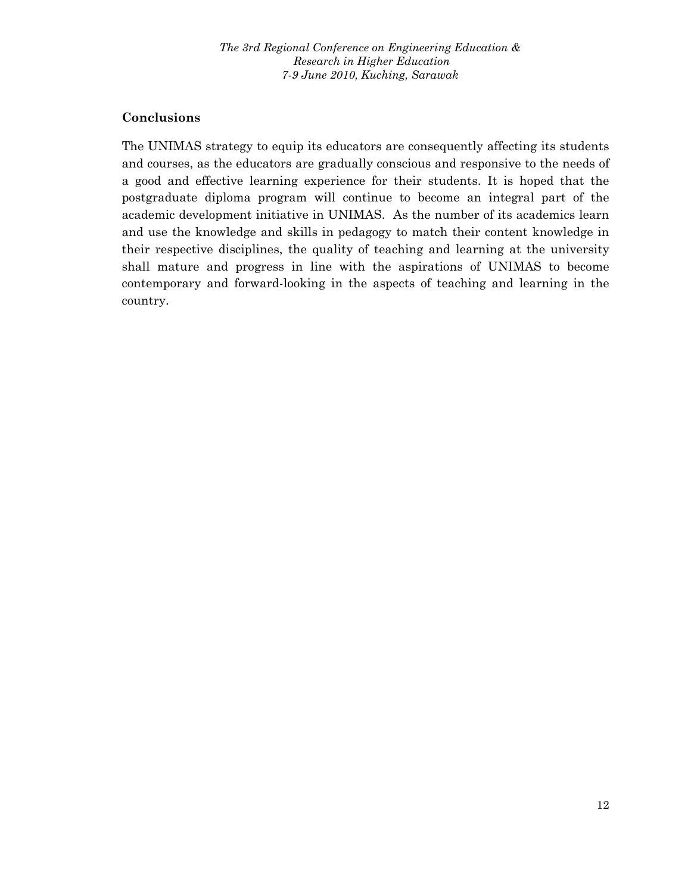### **Conclusions**

The UNIMAS strategy to equip its educators are consequently affecting its students and courses, as the educators are gradually conscious and responsive to the needs of a good and effective learning experience for their students. It is hoped that the postgraduate diploma program will continue to become an integral part of the academic development initiative in UNIMAS. As the number of its academics learn and use the knowledge and skills in pedagogy to match their content knowledge in their respective disciplines, the quality of teaching and learning at the university shall mature and progress in line with the aspirations of UNIMAS to become contemporary and forward-looking in the aspects of teaching and learning in the country.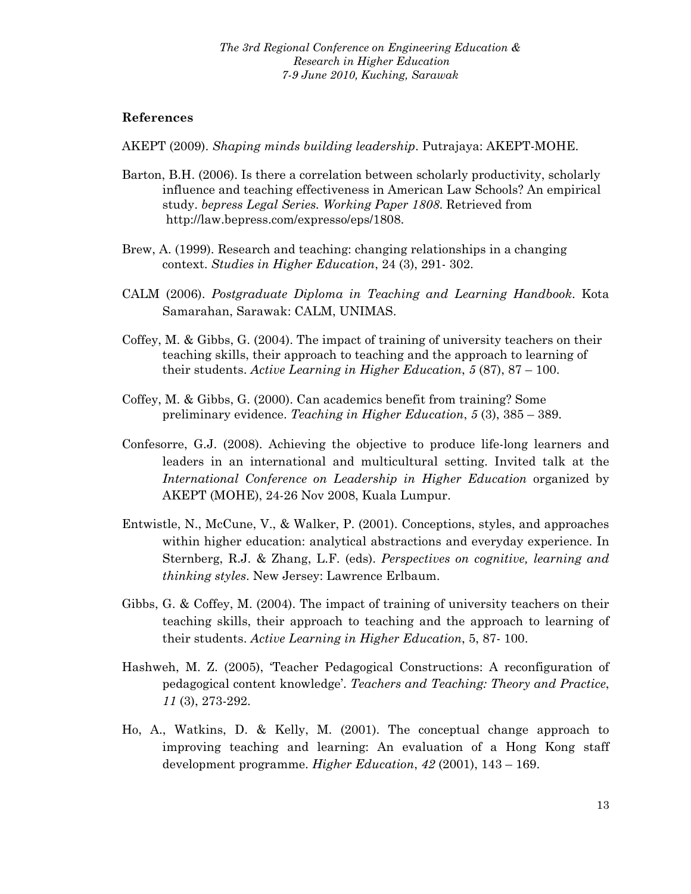#### **References**

AKEPT (2009). *Shaping minds building leadership*. Putrajaya: AKEPT-MOHE.

- Barton, B.H. (2006). Is there a correlation between scholarly productivity, scholarly influence and teaching effectiveness in American Law Schools? An empirical study. *bepress Legal Series. Working Paper 1808*. Retrieved from http://law.bepress.com/expresso/eps/1808.
- Brew, A. (1999). Research and teaching: changing relationships in a changing context. *Studies in Higher Education*, 24 (3), 291- 302.
- CALM (2006). *Postgraduate Diploma in Teaching and Learning Handbook*. Kota Samarahan, Sarawak: CALM, UNIMAS.
- Coffey, M. & Gibbs, G. (2004). The impact of training of university teachers on their teaching skills, their approach to teaching and the approach to learning of their students. *Active Learning in Higher Education*, *5* (87), 87 – 100.
- Coffey, M. & Gibbs, G. (2000). Can academics benefit from training? Some preliminary evidence. *Teaching in Higher Education*, *5* (3), 385 – 389.
- Confesorre, G.J. (2008). Achieving the objective to produce life-long learners and leaders in an international and multicultural setting. Invited talk at the *International Conference on Leadership in Higher Education* organized by AKEPT (MOHE), 24-26 Nov 2008, Kuala Lumpur.
- Entwistle, N., McCune, V., & Walker, P. (2001). Conceptions, styles, and approaches within higher education: analytical abstractions and everyday experience. In Sternberg, R.J. & Zhang, L.F. (eds). *Perspectives on cognitive, learning and thinking styles*. New Jersey: Lawrence Erlbaum.
- Gibbs, G. & Coffey, M. (2004). The impact of training of university teachers on their teaching skills, their approach to teaching and the approach to learning of their students. *Active Learning in Higher Education*, 5, 87- 100.
- Hashweh, M. Z. (2005), 'Teacher Pedagogical Constructions: A reconfiguration of pedagogical content knowledge'. *Teachers and Teaching: Theory and Practice*, *11* (3), 273-292.
- Ho, A., Watkins, D. & Kelly, M. (2001). The conceptual change approach to improving teaching and learning: An evaluation of a Hong Kong staff development programme. *Higher Education*, *42* (2001), 143 – 169.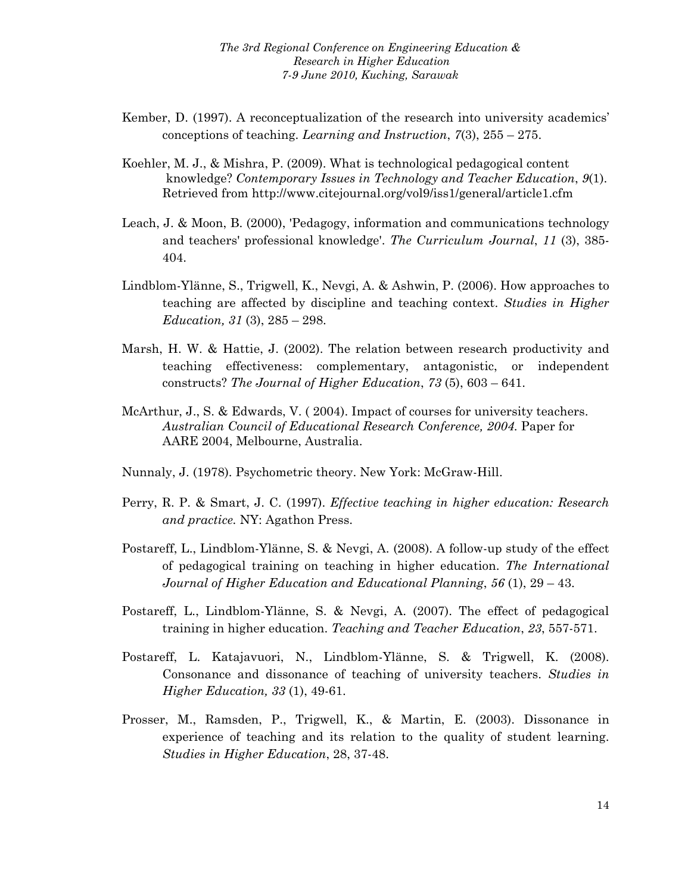- Kember, D. (1997). A reconceptualization of the research into university academics' conceptions of teaching. *Learning and Instruction*, *7*(3), 255 – 275.
- Koehler, M. J., & Mishra, P. (2009). What is technological pedagogical content knowledge? *Contemporary Issues in Technology and Teacher Education*, *9*(1). Retrieved from http://www.citejournal.org/vol9/iss1/general/article1.cfm
- Leach, J. & Moon, B. (2000), 'Pedagogy, information and communications technology and teachers' professional knowledge'. *The Curriculum Journal*, *11* (3), 385- 404.
- Lindblom-Ylänne, S., Trigwell, K., Nevgi, A. & Ashwin, P. (2006). How approaches to teaching are affected by discipline and teaching context. *Studies in Higher Education, 31* (3), 285 – 298.
- Marsh, H. W. & Hattie, J. (2002). The relation between research productivity and teaching effectiveness: complementary, antagonistic, or independent constructs? *The Journal of Higher Education*, *73* (5), 603 – 641.
- McArthur, J., S. & Edwards, V. ( 2004). Impact of courses for university teachers. *Australian Council of Educational Research Conference, 2004.* Paper for AARE 2004, Melbourne, Australia.
- Nunnaly, J. (1978). Psychometric theory. New York: McGraw-Hill.
- Perry, R. P. & Smart, J. C. (1997). *Effective teaching in higher education: Research and practice.* NY: Agathon Press.
- Postareff, L., Lindblom-Ylänne, S. & Nevgi, A. (2008). A follow-up study of the effect of pedagogical training on teaching in higher education. *The International Journal of Higher Education and Educational Planning*, *56* (1), 29 – 43.
- Postareff, L., Lindblom-Ylänne, S. & Nevgi, A. (2007). The effect of pedagogical training in higher education. *Teaching and Teacher Education*, *23*, 557-571.
- Postareff, L. Katajavuori, N., Lindblom-Ylänne, S. & Trigwell, K. (2008). Consonance and dissonance of teaching of university teachers. *Studies in Higher Education, 33* (1), 49-61.
- Prosser, M., Ramsden, P., Trigwell, K., & Martin, E. (2003). Dissonance in experience of teaching and its relation to the quality of student learning. *Studies in Higher Education*, 28, 37-48.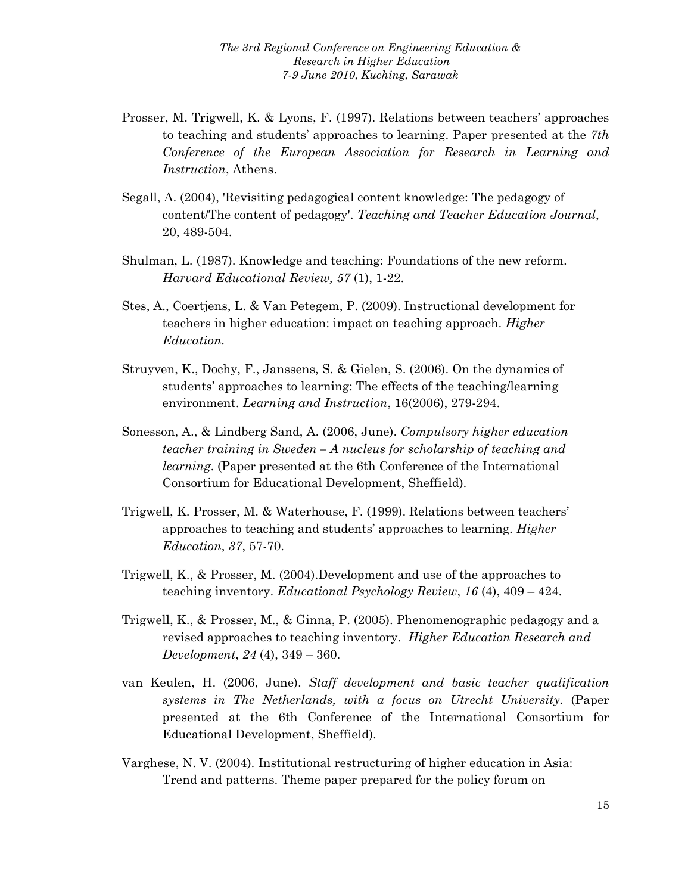- Prosser, M. Trigwell, K. & Lyons, F. (1997). Relations between teachers' approaches to teaching and students' approaches to learning. Paper presented at the *7th Conference of the European Association for Research in Learning and Instruction*, Athens.
- Segall, A. (2004), 'Revisiting pedagogical content knowledge: The pedagogy of content/The content of pedagogy'. *Teaching and Teacher Education Journal*, 20, 489-504.
- Shulman, L. (1987). Knowledge and teaching: Foundations of the new reform. *Harvard Educational Review, 57* (1), 1-22.
- Stes, A., Coertjens, L. & Van Petegem, P. (2009). Instructional development for teachers in higher education: impact on teaching approach. *Higher Education.*
- Struyven, K., Dochy, F., Janssens, S. & Gielen, S. (2006). On the dynamics of students' approaches to learning: The effects of the teaching/learning environment. *Learning and Instruction*, 16(2006), 279-294.
- Sonesson, A., & Lindberg Sand, A. (2006, June). *Compulsory higher education teacher training in Sweden – A nucleus for scholarship of teaching and learning*. (Paper presented at the 6th Conference of the International Consortium for Educational Development, Sheffield).
- Trigwell, K. Prosser, M. & Waterhouse, F. (1999). Relations between teachers' approaches to teaching and students' approaches to learning. *Higher Education*, *37*, 57-70.
- Trigwell, K., & Prosser, M. (2004).Development and use of the approaches to teaching inventory. *Educational Psychology Review*, *16* (4), 409 – 424.
- Trigwell, K., & Prosser, M., & Ginna, P. (2005). Phenomenographic pedagogy and a revised approaches to teaching inventory. *Higher Education Research and Development*, *24* (4), 349 – 360.
- van Keulen, H. (2006, June). *Staff development and basic teacher qualification systems in The Netherlands, with a focus on Utrecht University.* (Paper presented at the 6th Conference of the International Consortium for Educational Development, Sheffield).
- Varghese, N. V. (2004). Institutional restructuring of higher education in Asia: Trend and patterns. Theme paper prepared for the policy forum on